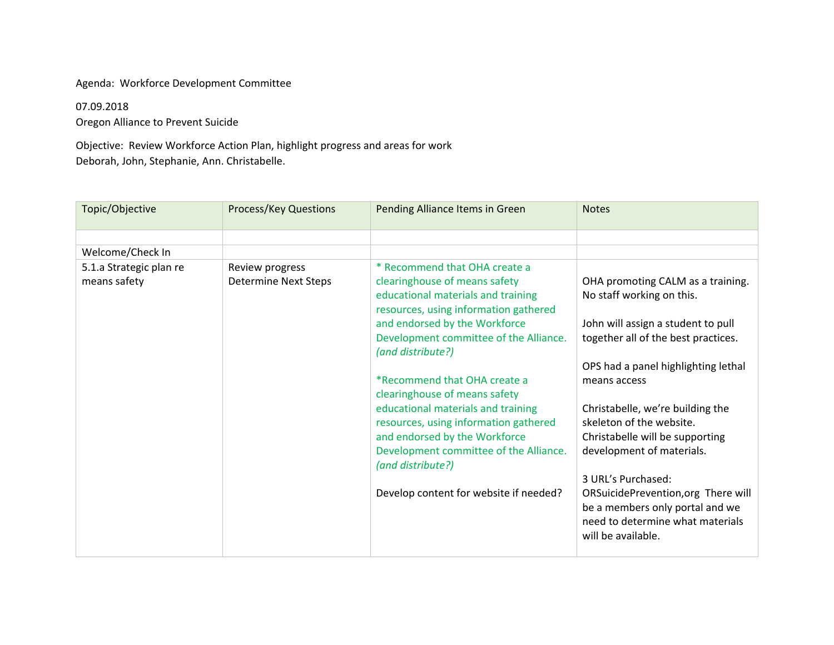#### Agenda: Workforce Development Committee

## 07.09.2018

Oregon Alliance to Prevent Suicide

Objective: Review Workforce Action Plan, highlight progress and areas for work Deborah, John, Stephanie, Ann. Christabelle.

| Topic/Objective                         | <b>Process/Key Questions</b>                   | Pending Alliance Items in Green                                                                                                                                                                                          | <b>Notes</b>                                                                                                                                |
|-----------------------------------------|------------------------------------------------|--------------------------------------------------------------------------------------------------------------------------------------------------------------------------------------------------------------------------|---------------------------------------------------------------------------------------------------------------------------------------------|
|                                         |                                                |                                                                                                                                                                                                                          |                                                                                                                                             |
| Welcome/Check In                        |                                                |                                                                                                                                                                                                                          |                                                                                                                                             |
| 5.1.a Strategic plan re<br>means safety | Review progress<br><b>Determine Next Steps</b> | * Recommend that OHA create a<br>clearinghouse of means safety<br>educational materials and training<br>resources, using information gathered<br>and endorsed by the Workforce<br>Development committee of the Alliance. | OHA promoting CALM as a training.<br>No staff working on this.<br>John will assign a student to pull<br>together all of the best practices. |
|                                         |                                                | (and distribute?)                                                                                                                                                                                                        |                                                                                                                                             |
|                                         |                                                |                                                                                                                                                                                                                          | OPS had a panel highlighting lethal                                                                                                         |
|                                         |                                                | *Recommend that OHA create a<br>clearinghouse of means safety                                                                                                                                                            | means access                                                                                                                                |
|                                         |                                                | educational materials and training<br>resources, using information gathered<br>and endorsed by the Workforce<br>Development committee of the Alliance.<br>(and distribute?)                                              | Christabelle, we're building the<br>skeleton of the website.<br>Christabelle will be supporting<br>development of materials.                |
|                                         |                                                |                                                                                                                                                                                                                          | 3 URL's Purchased:                                                                                                                          |
|                                         |                                                | Develop content for website if needed?                                                                                                                                                                                   | ORSuicidePrevention, org There will<br>be a members only portal and we<br>need to determine what materials<br>will be available.            |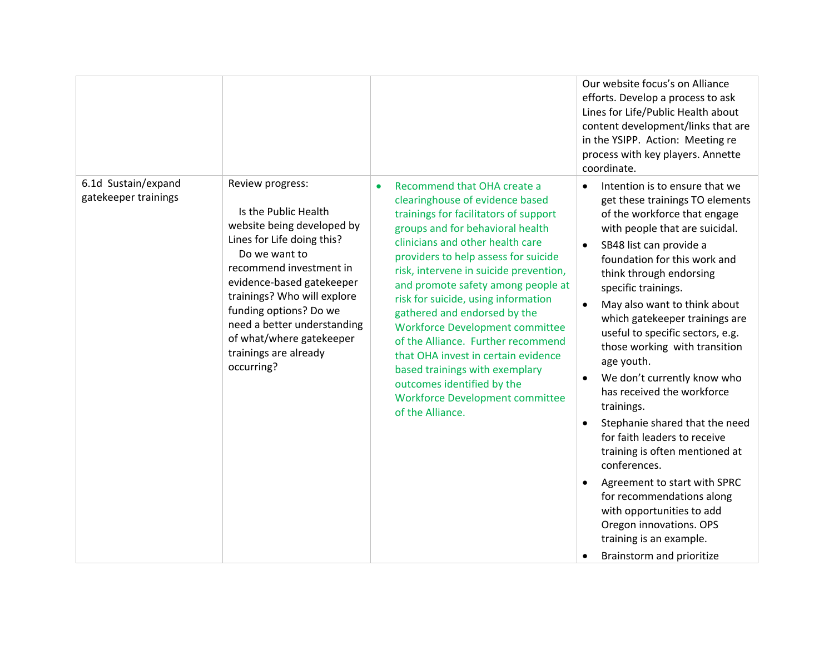|                                             |                                                                                                                                                                                                                                                                                                                                          |                                                                                                                                                                                                                                                                                                                                                                                                                                                                                                                                                                                                                                     | Our website focus's on Alliance<br>efforts. Develop a process to ask<br>Lines for Life/Public Health about<br>content development/links that are<br>in the YSIPP. Action: Meeting re<br>process with key players. Annette<br>coordinate.                                                                                                                                                                                                                                                                                                                                                                                                                                                                                                                                                                                              |
|---------------------------------------------|------------------------------------------------------------------------------------------------------------------------------------------------------------------------------------------------------------------------------------------------------------------------------------------------------------------------------------------|-------------------------------------------------------------------------------------------------------------------------------------------------------------------------------------------------------------------------------------------------------------------------------------------------------------------------------------------------------------------------------------------------------------------------------------------------------------------------------------------------------------------------------------------------------------------------------------------------------------------------------------|---------------------------------------------------------------------------------------------------------------------------------------------------------------------------------------------------------------------------------------------------------------------------------------------------------------------------------------------------------------------------------------------------------------------------------------------------------------------------------------------------------------------------------------------------------------------------------------------------------------------------------------------------------------------------------------------------------------------------------------------------------------------------------------------------------------------------------------|
| 6.1d Sustain/expand<br>gatekeeper trainings | Review progress:<br>Is the Public Health<br>website being developed by<br>Lines for Life doing this?<br>Do we want to<br>recommend investment in<br>evidence-based gatekeeper<br>trainings? Who will explore<br>funding options? Do we<br>need a better understanding<br>of what/where gatekeeper<br>trainings are already<br>occurring? | Recommend that OHA create a<br>clearinghouse of evidence based<br>trainings for facilitators of support<br>groups and for behavioral health<br>clinicians and other health care<br>providers to help assess for suicide<br>risk, intervene in suicide prevention,<br>and promote safety among people at<br>risk for suicide, using information<br>gathered and endorsed by the<br><b>Workforce Development committee</b><br>of the Alliance. Further recommend<br>that OHA invest in certain evidence<br>based trainings with exemplary<br>outcomes identified by the<br><b>Workforce Development committee</b><br>of the Alliance. | Intention is to ensure that we<br>$\bullet$<br>get these trainings TO elements<br>of the workforce that engage<br>with people that are suicidal.<br>SB48 list can provide a<br>foundation for this work and<br>think through endorsing<br>specific trainings.<br>May also want to think about<br>which gatekeeper trainings are<br>useful to specific sectors, e.g.<br>those working with transition<br>age youth.<br>We don't currently know who<br>$\bullet$<br>has received the workforce<br>trainings.<br>Stephanie shared that the need<br>$\bullet$<br>for faith leaders to receive<br>training is often mentioned at<br>conferences.<br>Agreement to start with SPRC<br>$\bullet$<br>for recommendations along<br>with opportunities to add<br>Oregon innovations. OPS<br>training is an example.<br>Brainstorm and prioritize |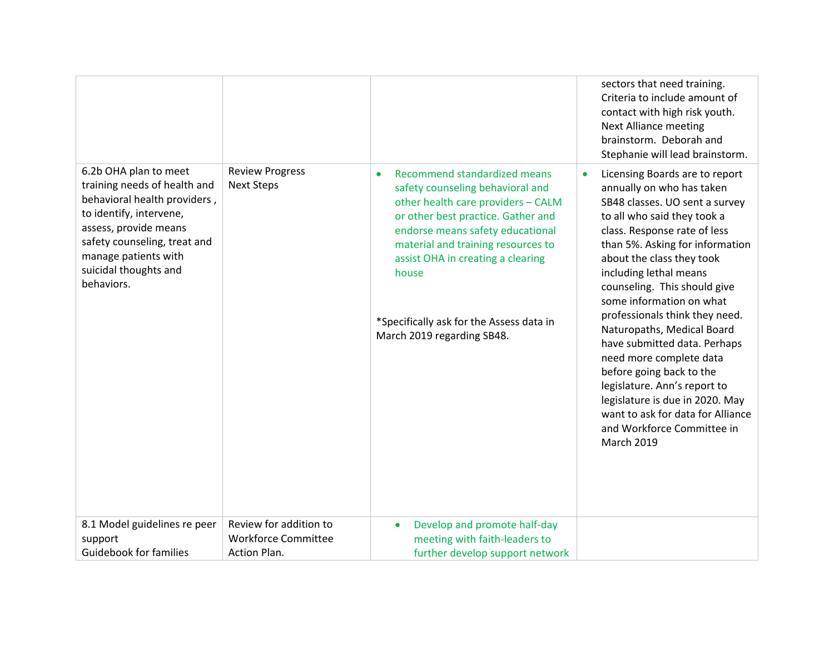|                                                                                                                                                                                                                                          |                                                                      |                                                                                                                                                                                                                                                                                                                                                | sectors that need training.<br>Criteria to include amount of<br>contact with high risk youth.<br><b>Next Alliance meeting</b><br>brainstorm. Deborah and<br>Stephanie will lead brainstorm.                                                                                                                                                                                                                                                                                                                                                                                                                                          |
|------------------------------------------------------------------------------------------------------------------------------------------------------------------------------------------------------------------------------------------|----------------------------------------------------------------------|------------------------------------------------------------------------------------------------------------------------------------------------------------------------------------------------------------------------------------------------------------------------------------------------------------------------------------------------|--------------------------------------------------------------------------------------------------------------------------------------------------------------------------------------------------------------------------------------------------------------------------------------------------------------------------------------------------------------------------------------------------------------------------------------------------------------------------------------------------------------------------------------------------------------------------------------------------------------------------------------|
| 6.2b OHA plan to meet<br>training needs of health and<br>behavioral health providers,<br>to identify, intervene,<br>assess, provide means<br>safety counseling, treat and<br>manage patients with<br>suicidal thoughts and<br>behaviors. | <b>Review Progress</b><br><b>Next Steps</b>                          | Recommend standardized means<br>safety counseling behavioral and<br>other health care providers - CALM<br>or other best practice. Gather and<br>endorse means safety educational<br>material and training resources to<br>assist OHA in creating a clearing<br>house<br>*Specifically ask for the Assess data in<br>March 2019 regarding SB48. | Licensing Boards are to report<br>annually on who has taken<br>SB48 classes. UO sent a survey<br>to all who said they took a<br>class. Response rate of less<br>than 5%. Asking for information<br>about the class they took<br>including lethal means<br>counseling. This should give<br>some information on what<br>professionals think they need.<br>Naturopaths, Medical Board<br>have submitted data. Perhaps<br>need more complete data<br>before going back to the<br>legislature. Ann's report to<br>legislature is due in 2020. May<br>want to ask for data for Alliance<br>and Workforce Committee in<br><b>March 2019</b> |
| 8.1 Model guidelines re peer<br>support<br><b>Guidebook for families</b>                                                                                                                                                                 | Review for addition to<br><b>Workforce Committee</b><br>Action Plan. | Develop and promote half-day<br>$\bullet$<br>meeting with faith-leaders to<br>further develop support network                                                                                                                                                                                                                                  |                                                                                                                                                                                                                                                                                                                                                                                                                                                                                                                                                                                                                                      |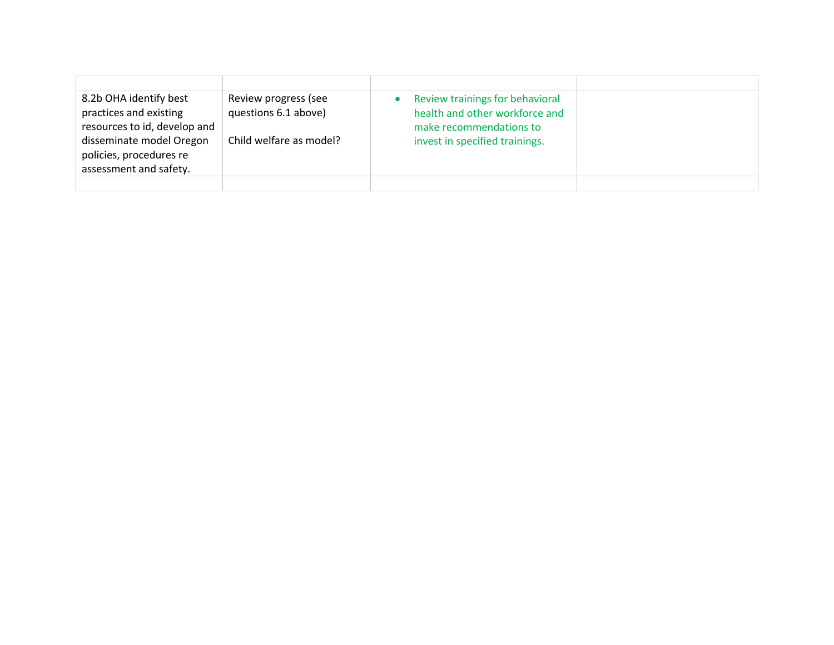| 8.2b OHA identify best<br>practices and existing<br>resources to id, develop and<br>disseminate model Oregon<br>policies, procedures re | Review progress (see<br>questions 6.1 above)<br>Child welfare as model? | Review trainings for behavioral<br>$\bullet$<br>health and other workforce and<br>make recommendations to<br>invest in specified trainings. |  |
|-----------------------------------------------------------------------------------------------------------------------------------------|-------------------------------------------------------------------------|---------------------------------------------------------------------------------------------------------------------------------------------|--|
| assessment and safety.                                                                                                                  |                                                                         |                                                                                                                                             |  |
|                                                                                                                                         |                                                                         |                                                                                                                                             |  |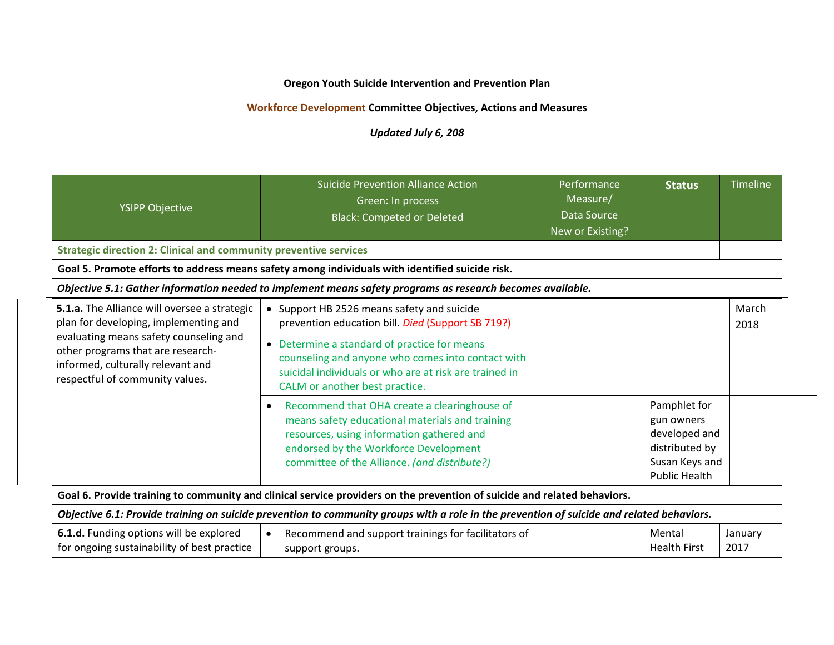# **Oregon Youth Suicide Intervention and Prevention Plan**

# **Workforce Development Committee Objectives, Actions and Measures**

# *Updated July 6, 208*

| <b>YSIPP Objective</b>                                                                                                                                                                                                                       | <b>Suicide Prevention Alliance Action</b><br>Green: In process<br><b>Black: Competed or Deleted</b>                                                                                                                                   | Performance<br>Measure/<br><b>Data Source</b><br>New or Existing? | <b>Status</b>                                                                                           | Timeline        |
|----------------------------------------------------------------------------------------------------------------------------------------------------------------------------------------------------------------------------------------------|---------------------------------------------------------------------------------------------------------------------------------------------------------------------------------------------------------------------------------------|-------------------------------------------------------------------|---------------------------------------------------------------------------------------------------------|-----------------|
| <b>Strategic direction 2: Clinical and community preventive services</b>                                                                                                                                                                     |                                                                                                                                                                                                                                       |                                                                   |                                                                                                         |                 |
|                                                                                                                                                                                                                                              | Goal 5. Promote efforts to address means safety among individuals with identified suicide risk.                                                                                                                                       |                                                                   |                                                                                                         |                 |
|                                                                                                                                                                                                                                              | Objective 5.1: Gather information needed to implement means safety programs as research becomes available.                                                                                                                            |                                                                   |                                                                                                         |                 |
| 5.1.a. The Alliance will oversee a strategic<br>plan for developing, implementing and<br>evaluating means safety counseling and<br>other programs that are research-<br>informed, culturally relevant and<br>respectful of community values. | • Support HB 2526 means safety and suicide<br>prevention education bill. Died (Support SB 719?)                                                                                                                                       |                                                                   |                                                                                                         | March<br>2018   |
|                                                                                                                                                                                                                                              | • Determine a standard of practice for means<br>counseling and anyone who comes into contact with<br>suicidal individuals or who are at risk are trained in<br>CALM or another best practice.                                         |                                                                   |                                                                                                         |                 |
|                                                                                                                                                                                                                                              | Recommend that OHA create a clearinghouse of<br>means safety educational materials and training<br>resources, using information gathered and<br>endorsed by the Workforce Development<br>committee of the Alliance. (and distribute?) |                                                                   | Pamphlet for<br>gun owners<br>developed and<br>distributed by<br>Susan Keys and<br><b>Public Health</b> |                 |
| Goal 6. Provide training to community and clinical service providers on the prevention of suicide and related behaviors.                                                                                                                     |                                                                                                                                                                                                                                       |                                                                   |                                                                                                         |                 |
|                                                                                                                                                                                                                                              | Objective 6.1: Provide training on suicide prevention to community groups with a role in the prevention of suicide and related behaviors.                                                                                             |                                                                   |                                                                                                         |                 |
| 6.1.d. Funding options will be explored<br>for ongoing sustainability of best practice                                                                                                                                                       | Recommend and support trainings for facilitators of<br>$\bullet$<br>support groups.                                                                                                                                                   |                                                                   | Mental<br><b>Health First</b>                                                                           | January<br>2017 |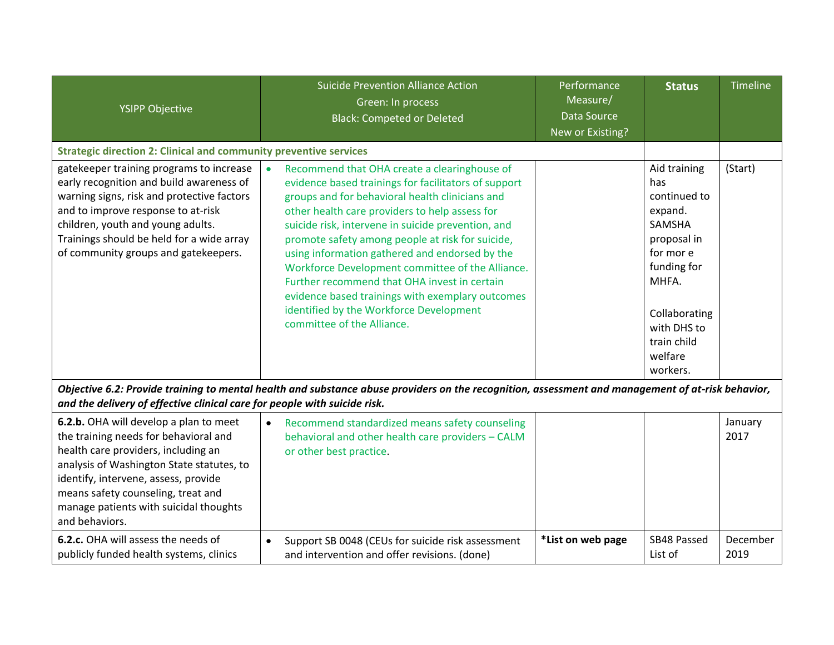| <b>YSIPP Objective</b>                                                                                                                                                                                                                                                                                        | <b>Suicide Prevention Alliance Action</b><br>Green: In process<br><b>Black: Competed or Deleted</b>                                                                                                                                                                                                                                                                                                                                                                                                                                                                                                                 | Performance<br>Measure/<br>Data Source<br>New or Existing? | <b>Status</b>                                                                                                                                                                      | Timeline         |  |
|---------------------------------------------------------------------------------------------------------------------------------------------------------------------------------------------------------------------------------------------------------------------------------------------------------------|---------------------------------------------------------------------------------------------------------------------------------------------------------------------------------------------------------------------------------------------------------------------------------------------------------------------------------------------------------------------------------------------------------------------------------------------------------------------------------------------------------------------------------------------------------------------------------------------------------------------|------------------------------------------------------------|------------------------------------------------------------------------------------------------------------------------------------------------------------------------------------|------------------|--|
| <b>Strategic direction 2: Clinical and community preventive services</b>                                                                                                                                                                                                                                      |                                                                                                                                                                                                                                                                                                                                                                                                                                                                                                                                                                                                                     |                                                            |                                                                                                                                                                                    |                  |  |
| gatekeeper training programs to increase<br>early recognition and build awareness of<br>warning signs, risk and protective factors<br>and to improve response to at-risk<br>children, youth and young adults.<br>Trainings should be held for a wide array<br>of community groups and gatekeepers.            | Recommend that OHA create a clearinghouse of<br>$\bullet$<br>evidence based trainings for facilitators of support<br>groups and for behavioral health clinicians and<br>other health care providers to help assess for<br>suicide risk, intervene in suicide prevention, and<br>promote safety among people at risk for suicide,<br>using information gathered and endorsed by the<br>Workforce Development committee of the Alliance.<br>Further recommend that OHA invest in certain<br>evidence based trainings with exemplary outcomes<br>identified by the Workforce Development<br>committee of the Alliance. |                                                            | Aid training<br>has<br>continued to<br>expand.<br>SAMSHA<br>proposal in<br>for mor e<br>funding for<br>MHFA.<br>Collaborating<br>with DHS to<br>train child<br>welfare<br>workers. | (Start)          |  |
| Objective 6.2: Provide training to mental health and substance abuse providers on the recognition, assessment and management of at-risk behavior,<br>and the delivery of effective clinical care for people with suicide risk.                                                                                |                                                                                                                                                                                                                                                                                                                                                                                                                                                                                                                                                                                                                     |                                                            |                                                                                                                                                                                    |                  |  |
| 6.2.b. OHA will develop a plan to meet<br>the training needs for behavioral and<br>health care providers, including an<br>analysis of Washington State statutes, to<br>identify, intervene, assess, provide<br>means safety counseling, treat and<br>manage patients with suicidal thoughts<br>and behaviors. | Recommend standardized means safety counseling<br>$\bullet$<br>behavioral and other health care providers - CALM<br>or other best practice.                                                                                                                                                                                                                                                                                                                                                                                                                                                                         |                                                            |                                                                                                                                                                                    | January<br>2017  |  |
| 6.2.c. OHA will assess the needs of<br>publicly funded health systems, clinics                                                                                                                                                                                                                                | Support SB 0048 (CEUs for suicide risk assessment<br>$\bullet$<br>and intervention and offer revisions. (done)                                                                                                                                                                                                                                                                                                                                                                                                                                                                                                      | *List on web page                                          | SB48 Passed<br>List of                                                                                                                                                             | December<br>2019 |  |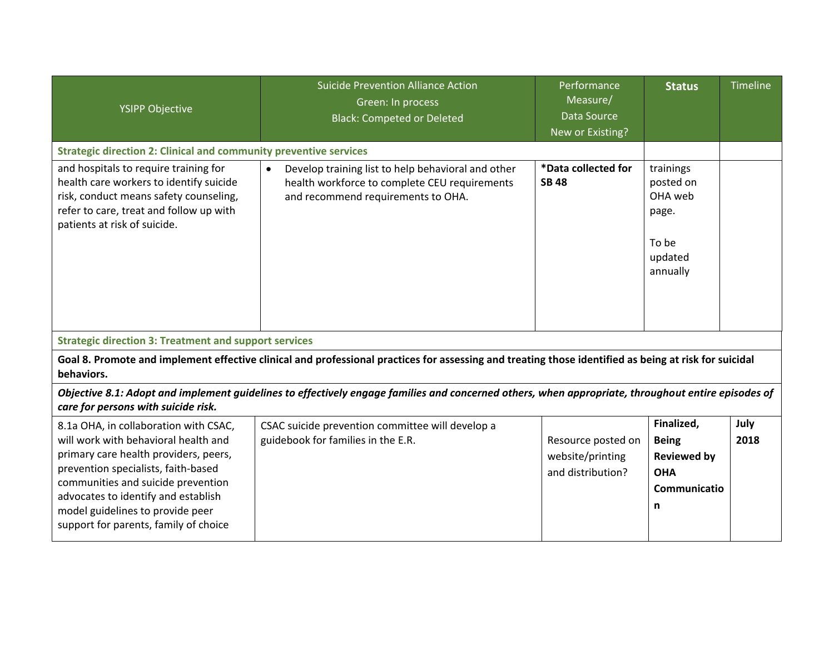| <b>YSIPP Objective</b>                                                                                                                                                                                                                                                                                                  | <b>Suicide Prevention Alliance Action</b><br>Green: In process<br><b>Black: Competed or Deleted</b>                                                    | Performance<br>Measure/<br>Data Source<br>New or Existing?  | <b>Status</b>                                                                       | Timeline     |  |  |
|-------------------------------------------------------------------------------------------------------------------------------------------------------------------------------------------------------------------------------------------------------------------------------------------------------------------------|--------------------------------------------------------------------------------------------------------------------------------------------------------|-------------------------------------------------------------|-------------------------------------------------------------------------------------|--------------|--|--|
| <b>Strategic direction 2: Clinical and community preventive services</b>                                                                                                                                                                                                                                                |                                                                                                                                                        |                                                             |                                                                                     |              |  |  |
| and hospitals to require training for<br>health care workers to identify suicide<br>risk, conduct means safety counseling,<br>refer to care, treat and follow up with<br>patients at risk of suicide.                                                                                                                   | Develop training list to help behavioral and other<br>$\bullet$<br>health workforce to complete CEU requirements<br>and recommend requirements to OHA. | *Data collected for<br><b>SB 48</b>                         | trainings<br>posted on<br>OHA web<br>page.<br>To be<br>updated<br>annually          |              |  |  |
| <b>Strategic direction 3: Treatment and support services</b>                                                                                                                                                                                                                                                            |                                                                                                                                                        |                                                             |                                                                                     |              |  |  |
| Goal 8. Promote and implement effective clinical and professional practices for assessing and treating those identified as being at risk for suicidal<br>behaviors.                                                                                                                                                     |                                                                                                                                                        |                                                             |                                                                                     |              |  |  |
| Objective 8.1: Adopt and implement guidelines to effectively engage families and concerned others, when appropriate, throughout entire episodes of<br>care for persons with suicide risk.                                                                                                                               |                                                                                                                                                        |                                                             |                                                                                     |              |  |  |
| 8.1a OHA, in collaboration with CSAC,<br>will work with behavioral health and<br>primary care health providers, peers,<br>prevention specialists, faith-based<br>communities and suicide prevention<br>advocates to identify and establish<br>model guidelines to provide peer<br>support for parents, family of choice | CSAC suicide prevention committee will develop a<br>guidebook for families in the E.R.                                                                 | Resource posted on<br>website/printing<br>and distribution? | Finalized,<br><b>Being</b><br><b>Reviewed by</b><br><b>OHA</b><br>Communicatio<br>n | July<br>2018 |  |  |